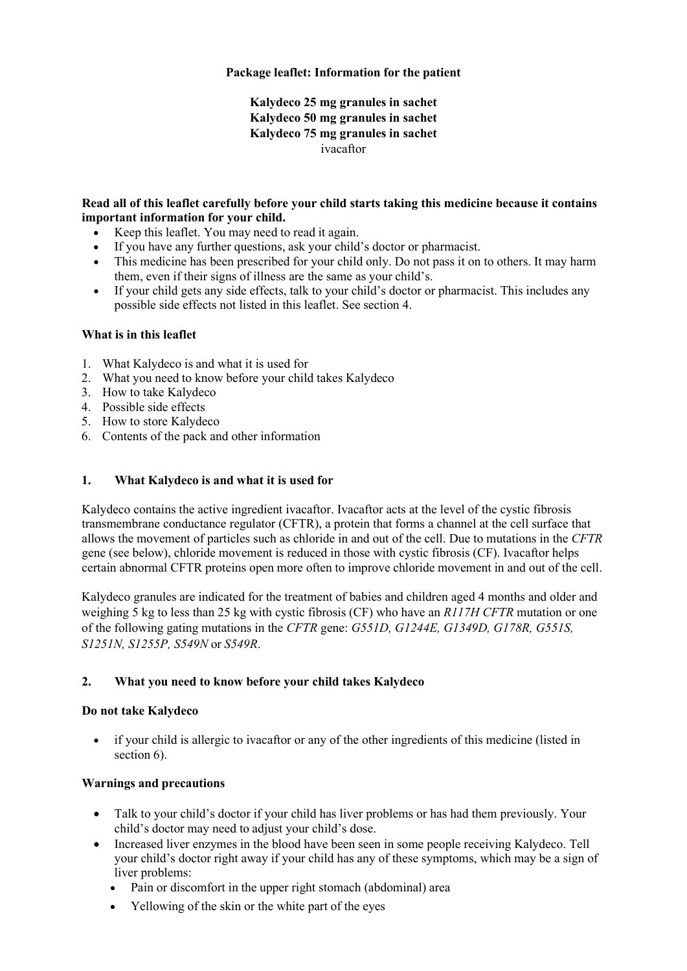## **Package leaflet: Information for the patient**

# **Kalydeco 25 mg granules in sachet Kalydeco 50 mg granules in sachet Kalydeco 75 mg granules in sachet** ivacaftor

#### **Read all of this leaflet carefully before your child starts taking this medicine because it contains important information for your child.**

- Keep this leaflet. You may need to read it again.
- If you have any further questions, ask your child's doctor or pharmacist.
- This medicine has been prescribed for your child only. Do not pass it on to others. It may harm them, even if their signs of illness are the same as your child's.
- If your child gets any side effects, talk to your child's doctor or pharmacist. This includes any possible side effects not listed in this leaflet. See section 4.

## **What is in this leaflet**

- 1. What Kalydeco is and what it is used for
- 2. What you need to know before your child takes Kalydeco
- 3. How to take Kalydeco
- 4. Possible side effects
- 5. How to store Kalydeco
- 6. Contents of the pack and other information

## **1. What Kalydeco is and what it is used for**

Kalydeco contains the active ingredient ivacaftor. Ivacaftor acts at the level of the cystic fibrosis transmembrane conductance regulator (CFTR), a protein that forms a channel at the cell surface that allows the movement of particles such as chloride in and out of the cell. Due to mutations in the *CFTR* gene (see below), chloride movement is reduced in those with cystic fibrosis (CF). Ivacaftor helps certain abnormal CFTR proteins open more often to improve chloride movement in and out of the cell.

Kalydeco granules are indicated for the treatment of babies and children aged 4 months and older and weighing 5 kg to less than 25 kg with cystic fibrosis (CF) who have an *R117H CFTR* mutation or one of the following gating mutations in the *CFTR* gene: *G551D, G1244E, G1349D, G178R, G551S, S1251N, S1255P, S549N* or *S549R*.

## **2. What you need to know before your child takes Kalydeco**

## **Do not take Kalydeco**

• if your child is allergic to ivacaftor or any of the other ingredients of this medicine (listed in section 6).

## **Warnings and precautions**

- Talk to your child's doctor if your child has liver problems or has had them previously. Your child's doctor may need to adjust your child's dose.
- Increased liver enzymes in the blood have been seen in some people receiving Kalydeco. Tell your child's doctor right away if your child has any of these symptoms, which may be a sign of liver problems:
	- Pain or discomfort in the upper right stomach (abdominal) area
	- Yellowing of the skin or the white part of the eyes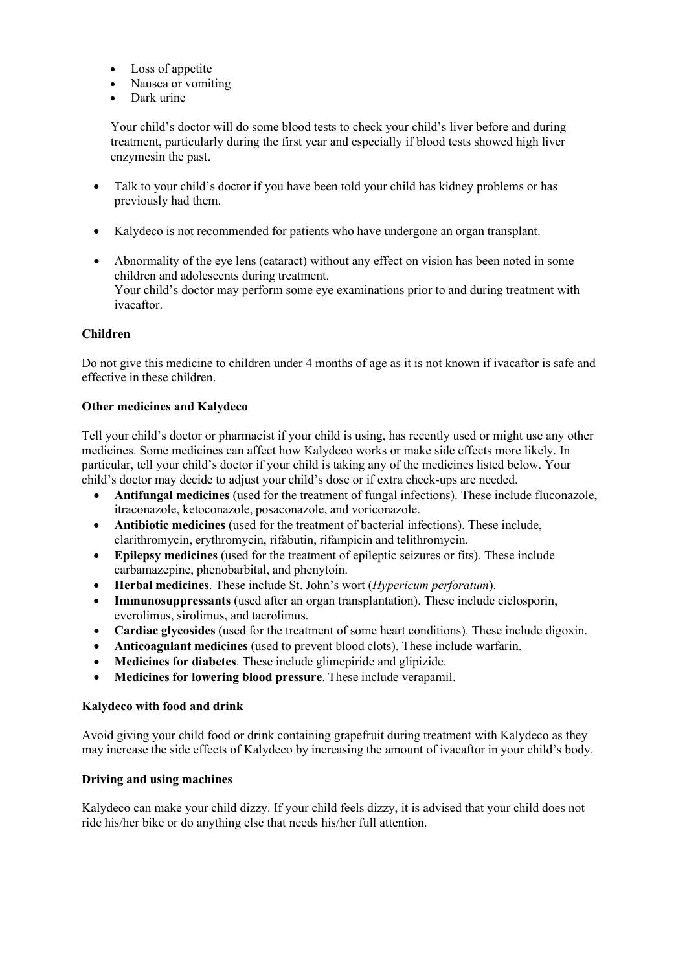- Loss of appetite
- Nausea or vomiting
- Dark urine

Your child's doctor will do some blood tests to check your child's liver before and during treatment, particularly during the first year and especially if blood tests showed high liver enzymesin the past.

- Talk to your child's doctor if you have been told your child has kidney problems or has previously had them.
- Kalydeco is not recommended for patients who have undergone an organ transplant.
- Abnormality of the eye lens (cataract) without any effect on vision has been noted in some children and adolescents during treatment. Your child's doctor may perform some eye examinations prior to and during treatment with ivacaftor.

#### **Children**

Do not give this medicine to children under 4 months of age as it is not known if ivacaftor is safe and effective in these children.

#### **Other medicines and Kalydeco**

Tell your child's doctor or pharmacist if your child is using, has recently used or might use any other medicines. Some medicines can affect how Kalydeco works or make side effects more likely. In particular, tell your child's doctor if your child is taking any of the medicines listed below. Your child's doctor may decide to adjust your child's dose or if extra check-ups are needed.

- **Antifungal medicines** (used for the treatment of fungal infections). These include fluconazole, itraconazole, ketoconazole, posaconazole, and voriconazole.
- **Antibiotic medicines** (used for the treatment of bacterial infections). These include, clarithromycin, erythromycin, rifabutin, rifampicin and telithromycin.
- **Epilepsy medicines** (used for the treatment of epileptic seizures or fits). These include carbamazepine, phenobarbital, and phenytoin.
- **Herbal medicines**. These include St. John's wort (*Hypericum perforatum*).
- **Immunosuppressants** (used after an organ transplantation). These include ciclosporin, everolimus, sirolimus, and tacrolimus.
- **Cardiac glycosides** (used for the treatment of some heart conditions). These include digoxin.
- **Anticoagulant medicines** (used to prevent blood clots). These include warfarin.
- **Medicines for diabetes**. These include glimepiride and glipizide.
- **Medicines for lowering blood pressure**. These include verapamil.

#### **Kalydeco with food and drink**

Avoid giving your child food or drink containing grapefruit during treatment with Kalydeco as they may increase the side effects of Kalydeco by increasing the amount of ivacaftor in your child's body.

#### **Driving and using machines**

Kalydeco can make your child dizzy. If your child feels dizzy, it is advised that your child does not ride his/her bike or do anything else that needs his/her full attention.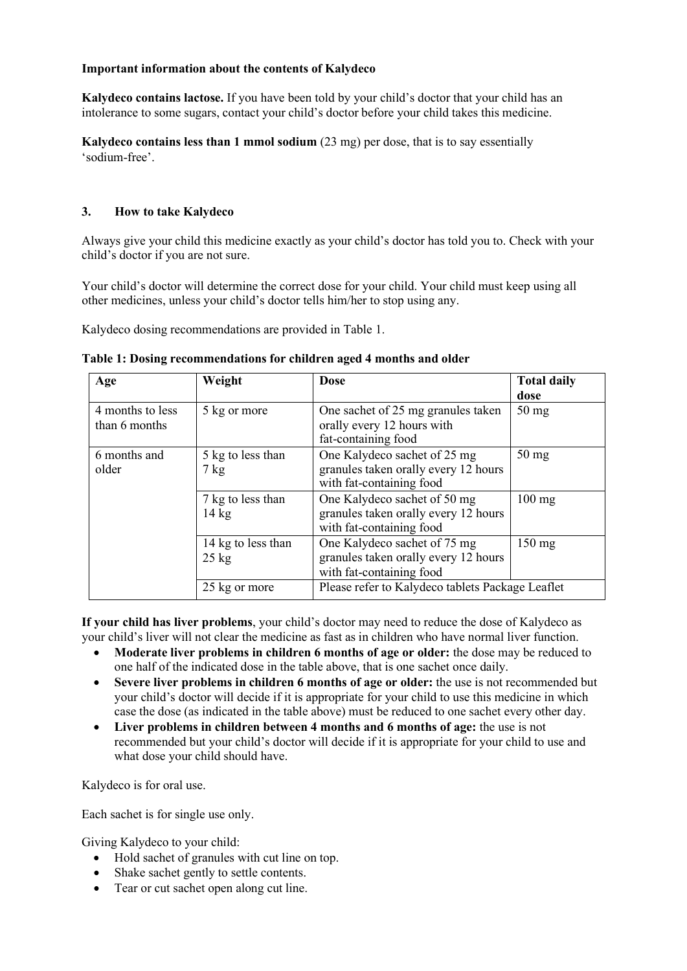#### **Important information about the contents of Kalydeco**

**Kalydeco contains lactose.** If you have been told by your child's doctor that your child has an intolerance to some sugars, contact your child's doctor before your child takes this medicine.

**Kalydeco contains less than 1 mmol sodium** (23 mg) per dose, that is to say essentially 'sodium-free'.

## **3. How to take Kalydeco**

Always give your child this medicine exactly as your child's doctor has told you to. Check with your child's doctor if you are not sure.

Your child's doctor will determine the correct dose for your child. Your child must keep using all other medicines, unless your child's doctor tells him/her to stop using any.

Kalydeco dosing recommendations are provided in Table 1.

| Age                               | Weight                                | <b>Dose</b>                                                                                      | <b>Total daily</b><br>dose |
|-----------------------------------|---------------------------------------|--------------------------------------------------------------------------------------------------|----------------------------|
| 4 months to less<br>than 6 months | 5 kg or more                          | One sachet of 25 mg granules taken<br>orally every 12 hours with<br>fat-containing food          | $50 \text{ mg}$            |
| 6 months and<br>older             | 5 kg to less than<br>$7 \text{ kg}$   | One Kalydeco sachet of 25 mg<br>granules taken orally every 12 hours<br>with fat-containing food | $50 \text{ mg}$            |
|                                   | 7 kg to less than<br>$14 \text{ kg}$  | One Kalydeco sachet of 50 mg<br>granules taken orally every 12 hours<br>with fat-containing food | $100$ mg                   |
|                                   | 14 kg to less than<br>$25 \text{ kg}$ | One Kalydeco sachet of 75 mg<br>granules taken orally every 12 hours<br>with fat-containing food | $150 \text{ mg}$           |
|                                   | 25 kg or more                         | Please refer to Kalydeco tablets Package Leaflet                                                 |                            |

**Table 1: Dosing recommendations for children aged 4 months and older**

**If your child has liver problems**, your child's doctor may need to reduce the dose of Kalydeco as your child's liver will not clear the medicine as fast as in children who have normal liver function.

- **Moderate liver problems in children 6 months of age or older:** the dose may be reduced to one half of the indicated dose in the table above, that is one sachet once daily.
- **Severe liver problems in children 6 months of age or older:** the use is not recommended but your child's doctor will decide if it is appropriate for your child to use this medicine in which case the dose (as indicated in the table above) must be reduced to one sachet every other day.
- **Liver problems in children between 4 months and 6 months of age:** the use is not recommended but your child's doctor will decide if it is appropriate for your child to use and what dose your child should have.

Kalydeco is for oral use.

Each sachet is for single use only.

Giving Kalydeco to your child:

- Hold sachet of granules with cut line on top.
- Shake sachet gently to settle contents.
- Tear or cut sachet open along cut line.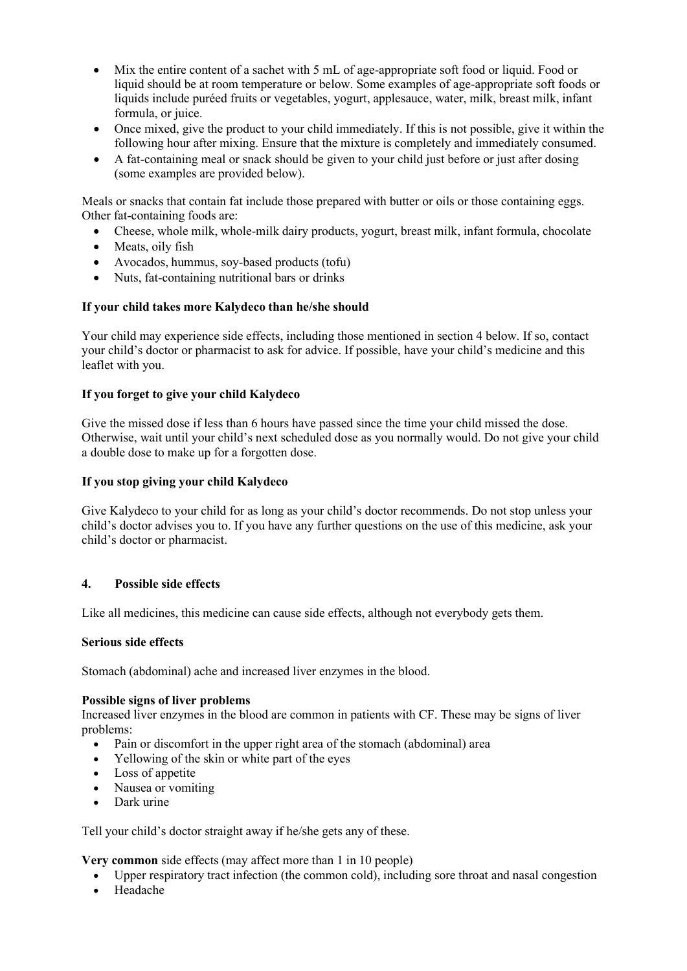- Mix the entire content of a sachet with 5 mL of age-appropriate soft food or liquid. Food or liquid should be at room temperature or below. Some examples of age-appropriate soft foods or liquids include puréed fruits or vegetables, yogurt, applesauce, water, milk, breast milk, infant formula, or juice.
- Once mixed, give the product to your child immediately. If this is not possible, give it within the following hour after mixing. Ensure that the mixture is completely and immediately consumed.
- A fat-containing meal or snack should be given to your child just before or just after dosing (some examples are provided below).

Meals or snacks that contain fat include those prepared with butter or oils or those containing eggs. Other fat-containing foods are:

- Cheese, whole milk, whole-milk dairy products, yogurt, breast milk, infant formula, chocolate
- Meats, oily fish
- Avocados, hummus, soy-based products (tofu)
- Nuts, fat-containing nutritional bars or drinks

## **If your child takes more Kalydeco than he/she should**

Your child may experience side effects, including those mentioned in section 4 below. If so, contact your child's doctor or pharmacist to ask for advice. If possible, have your child's medicine and this leaflet with you.

## **If you forget to give your child Kalydeco**

Give the missed dose if less than 6 hours have passed since the time your child missed the dose. Otherwise, wait until your child's next scheduled dose as you normally would. Do not give your child a double dose to make up for a forgotten dose.

## **If you stop giving your child Kalydeco**

Give Kalydeco to your child for as long as your child's doctor recommends. Do not stop unless your child's doctor advises you to. If you have any further questions on the use of this medicine, ask your child's doctor or pharmacist.

## **4. Possible side effects**

Like all medicines, this medicine can cause side effects, although not everybody gets them.

## **Serious side effects**

Stomach (abdominal) ache and increased liver enzymes in the blood.

## **Possible signs of liver problems**

Increased liver enzymes in the blood are common in patients with CF. These may be signs of liver problems:

- Pain or discomfort in the upper right area of the stomach (abdominal) area
- Yellowing of the skin or white part of the eyes
- Loss of appetite
- Nausea or vomiting
- Dark urine

Tell your child's doctor straight away if he/she gets any of these.

**Very common** side effects (may affect more than 1 in 10 people)

- Upper respiratory tract infection (the common cold), including sore throat and nasal congestion
- Headache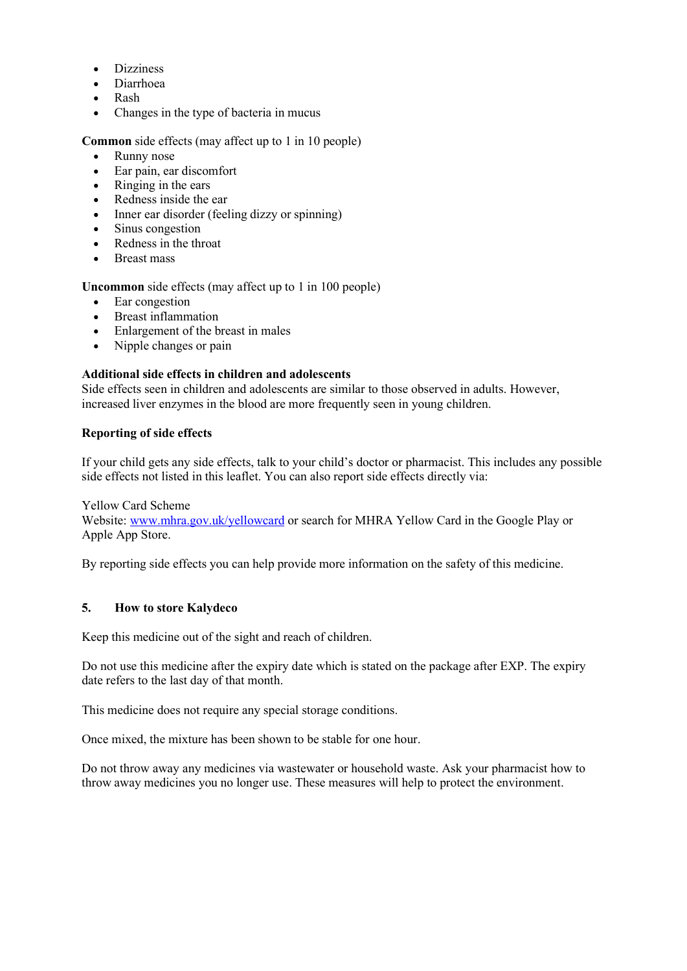- **Dizziness**
- Diarrhoea
- Rash
- Changes in the type of bacteria in mucus

**Common** side effects (may affect up to 1 in 10 people)

- Runny nose
- Ear pain, ear discomfort
- Ringing in the ears
- Redness inside the ear
- Inner ear disorder (feeling dizzy or spinning)
- Sinus congestion
- Redness in the throat
- Breast mass

**Uncommon** side effects (may affect up to 1 in 100 people)

- Ear congestion
- Breast inflammation
- Enlargement of the breast in males
- Nipple changes or pain

#### **Additional side effects in children and adolescents**

Side effects seen in children and adolescents are similar to those observed in adults. However, increased liver enzymes in the blood are more frequently seen in young children.

#### **Reporting of side effects**

If your child gets any side effects, talk to your child's doctor or pharmacist. This includes any possible side effects not listed in this leaflet. You can also report side effects directly via:

Yellow Card Scheme

Website: [www.mhra.gov.uk/yellowcard](http://www.mhra.gov.uk/yellowcard) or search for MHRA Yellow Card in the Google Play or Apple App Store.

By reporting side effects you can help provide more information on the safety of this medicine.

#### **5. How to store Kalydeco**

Keep this medicine out of the sight and reach of children.

Do not use this medicine after the expiry date which is stated on the package after EXP. The expiry date refers to the last day of that month.

This medicine does not require any special storage conditions.

Once mixed, the mixture has been shown to be stable for one hour.

Do not throw away any medicines via wastewater or household waste. Ask your pharmacist how to throw away medicines you no longer use. These measures will help to protect the environment.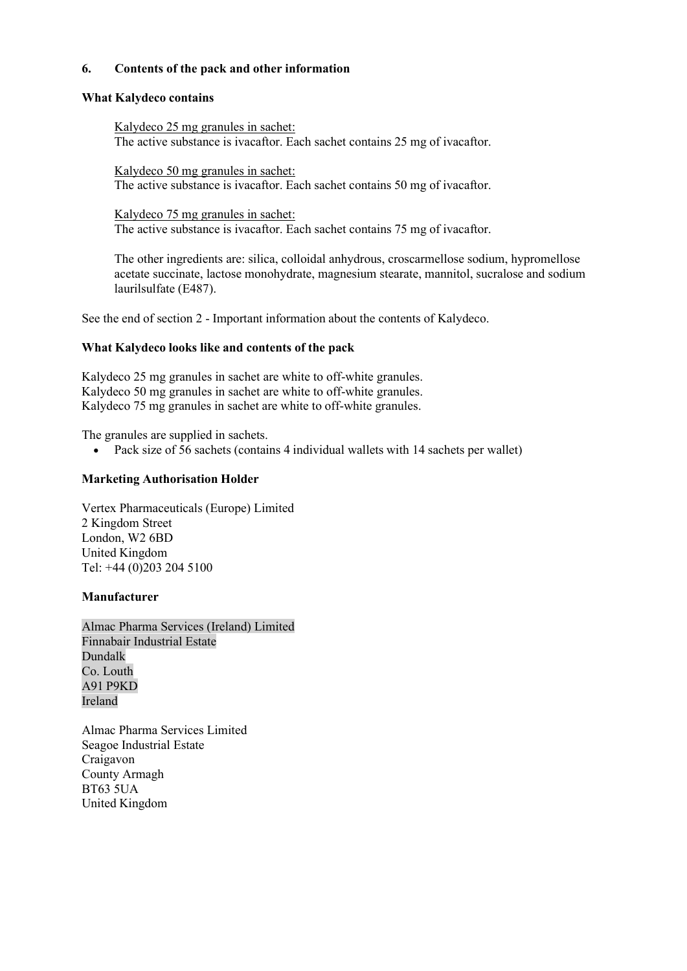#### **6. Contents of the pack and other information**

#### **What Kalydeco contains**

Kalydeco 25 mg granules in sachet: The active substance is ivacaftor. Each sachet contains 25 mg of ivacaftor.

Kalydeco 50 mg granules in sachet: The active substance is ivacaftor. Each sachet contains 50 mg of ivacaftor.

Kalydeco 75 mg granules in sachet: The active substance is ivacaftor. Each sachet contains 75 mg of ivacaftor.

The other ingredients are: silica, colloidal anhydrous, croscarmellose sodium, hypromellose acetate succinate, lactose monohydrate, magnesium stearate, mannitol, sucralose and sodium laurilsulfate (E487).

See the end of section 2 - Important information about the contents of Kalydeco.

#### **What Kalydeco looks like and contents of the pack**

Kalydeco 25 mg granules in sachet are white to off-white granules. Kalydeco 50 mg granules in sachet are white to off-white granules. Kalydeco 75 mg granules in sachet are white to off-white granules.

The granules are supplied in sachets.

• Pack size of 56 sachets (contains 4 individual wallets with 14 sachets per wallet)

#### **Marketing Authorisation Holder**

Vertex Pharmaceuticals (Europe) Limited 2 Kingdom Street London, W2 6BD United Kingdom Tel: +44 (0)203 204 5100

#### **Manufacturer**

Almac Pharma Services (Ireland) Limited Finnabair Industrial Estate Dundalk Co. Louth A91 P9KD Ireland

Almac Pharma Services Limited Seagoe Industrial Estate Craigavon County Armagh BT63 5UA United Kingdom